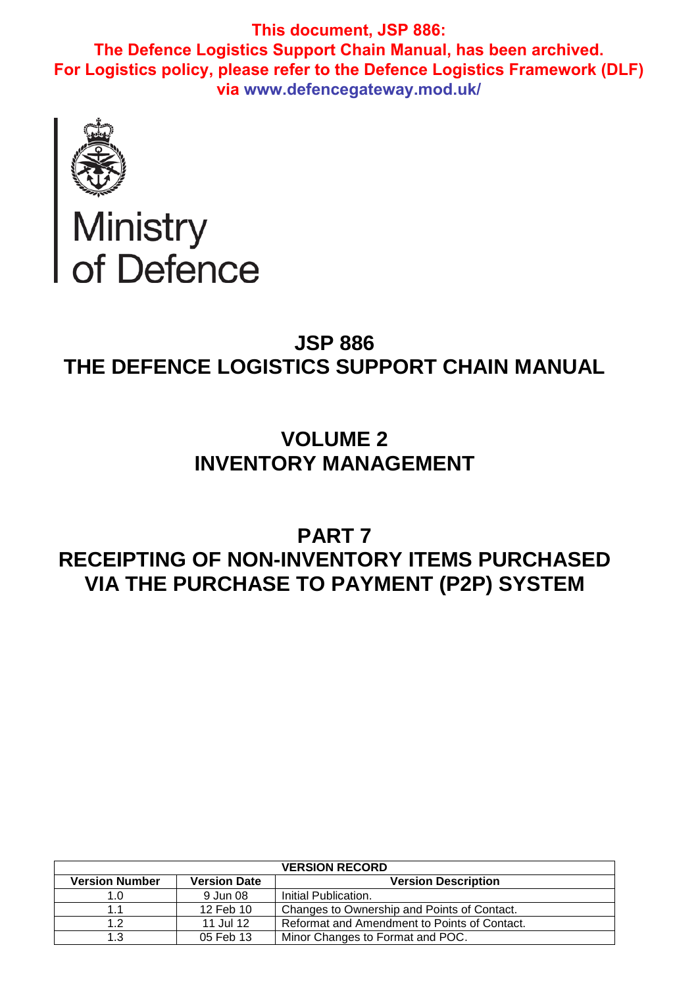

# Ministry<br>of Defence

## **JSP 886 THE DEFENCE LOGISTICS SUPPORT CHAIN MANUAL**

# **VOLUME 2 INVENTORY MANAGEMENT**

# **PART 7 RECEIPTING OF NON-INVENTORY ITEMS PURCHASED VIA THE PURCHASE TO PAYMENT (P2P) SYSTEM**

| <b>VERSION RECORD</b> |                     |                                              |  |
|-----------------------|---------------------|----------------------------------------------|--|
| <b>Version Number</b> | <b>Version Date</b> | <b>Version Description</b>                   |  |
| 1.0                   | 9 Jun 08            | Initial Publication.                         |  |
| 1.1                   | 12 Feb 10           | Changes to Ownership and Points of Contact.  |  |
| 1.2                   | 11 Jul 12           | Reformat and Amendment to Points of Contact. |  |
| 1.3                   | 05 Feb 13           | Minor Changes to Format and POC.             |  |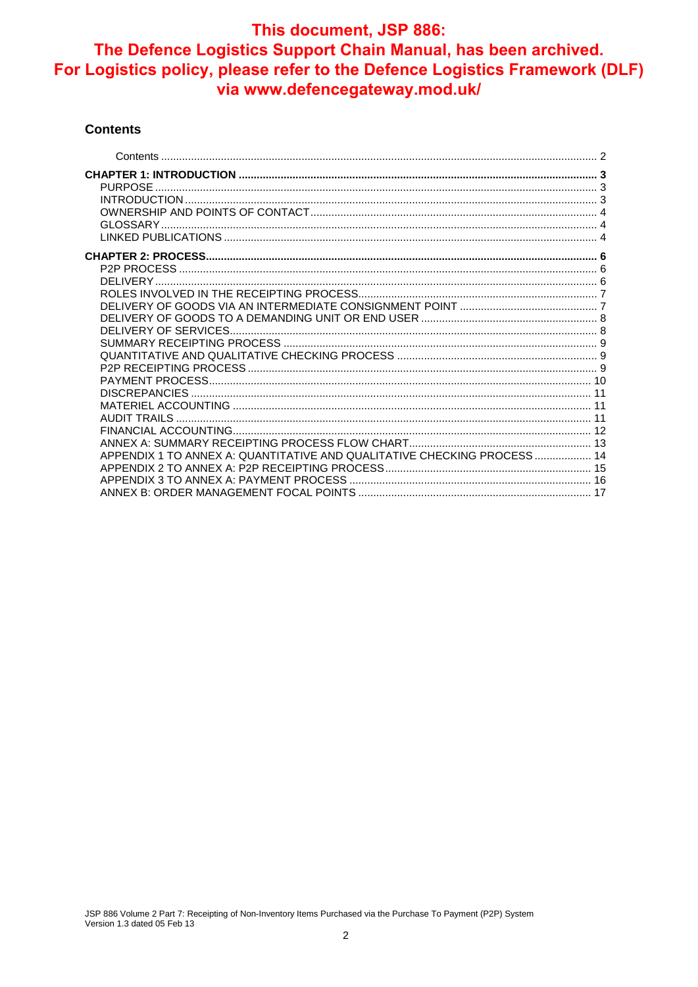#### **Contents**

| APPENDIX 1 TO ANNEX A: QUANTITATIVE AND QUALITATIVE CHECKING PROCESS 14 |  |
|-------------------------------------------------------------------------|--|
|                                                                         |  |
|                                                                         |  |
|                                                                         |  |
|                                                                         |  |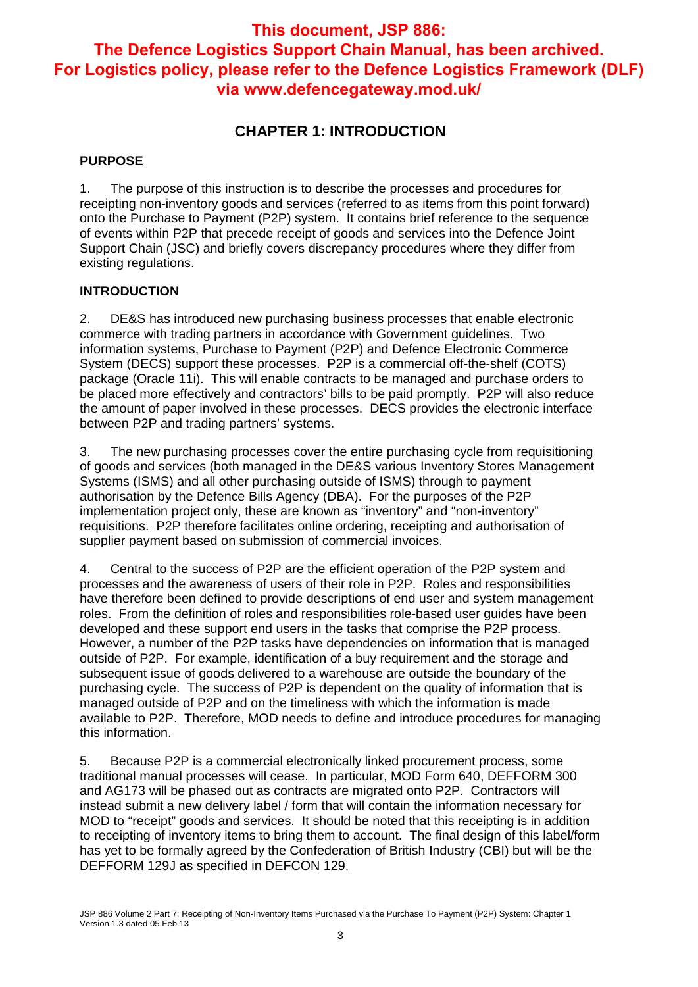### **CHAPTER 1: INTRODUCTION**

#### **PURPOSE**

1. The purpose of this instruction is to describe the processes and procedures for receipting non-inventory goods and services (referred to as items from this point forward) onto the Purchase to Payment (P2P) system. It contains brief reference to the sequence of events within P2P that precede receipt of goods and services into the Defence Joint Support Chain (JSC) and briefly covers discrepancy procedures where they differ from existing regulations.

#### **INTRODUCTION**

2. DE&S has introduced new purchasing business processes that enable electronic commerce with trading partners in accordance with Government guidelines. Two information systems, Purchase to Payment (P2P) and Defence Electronic Commerce System (DECS) support these processes. P2P is a commercial off-the-shelf (COTS) package (Oracle 11i). This will enable contracts to be managed and purchase orders to be placed more effectively and contractors' bills to be paid promptly. P2P will also reduce the amount of paper involved in these processes. DECS provides the electronic interface between P2P and trading partners' systems.

3. The new purchasing processes cover the entire purchasing cycle from requisitioning of goods and services (both managed in the DE&S various Inventory Stores Management Systems (ISMS) and all other purchasing outside of ISMS) through to payment authorisation by the Defence Bills Agency (DBA). For the purposes of the P2P implementation project only, these are known as "inventory" and "non-inventory" requisitions. P2P therefore facilitates online ordering, receipting and authorisation of supplier payment based on submission of commercial invoices.

4. Central to the success of P2P are the efficient operation of the P2P system and processes and the awareness of users of their role in P2P. Roles and responsibilities have therefore been defined to provide descriptions of end user and system management roles. From the definition of roles and responsibilities role-based user guides have been developed and these support end users in the tasks that comprise the P2P process. However, a number of the P2P tasks have dependencies on information that is managed outside of P2P. For example, identification of a buy requirement and the storage and subsequent issue of goods delivered to a warehouse are outside the boundary of the purchasing cycle. The success of P2P is dependent on the quality of information that is managed outside of P2P and on the timeliness with which the information is made available to P2P. Therefore, MOD needs to define and introduce procedures for managing this information.

5. Because P2P is a commercial electronically linked procurement process, some traditional manual processes will cease. In particular, MOD Form 640, DEFFORM 300 and AG173 will be phased out as contracts are migrated onto P2P. Contractors will instead submit a new delivery label / form that will contain the information necessary for MOD to "receipt" goods and services. It should be noted that this receipting is in addition to receipting of inventory items to bring them to account. The final design of this label/form has yet to be formally agreed by the Confederation of British Industry (CBI) but will be the DEFFORM 129J as specified in DEFCON 129.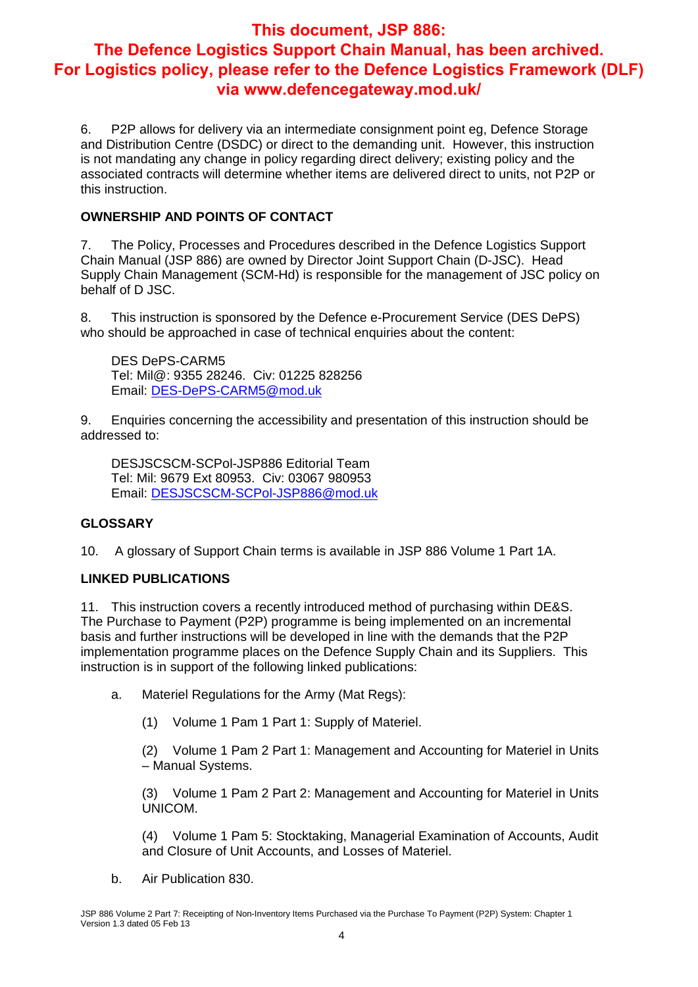6. P2P allows for delivery via an intermediate consignment point eg, Defence Storage and Distribution Centre (DSDC) or direct to the demanding unit. However, this instruction is not mandating any change in policy regarding direct delivery; existing policy and the associated contracts will determine whether items are delivered direct to units, not P2P or this instruction.

#### **OWNERSHIP AND POINTS OF CONTACT**

7. The Policy, Processes and Procedures described in the Defence Logistics Support Chain Manual (JSP 886) are owned by Director Joint Support Chain (D-JSC). Head Supply Chain Management (SCM-Hd) is responsible for the management of JSC policy on behalf of D JSC.

8. This instruction is sponsored by the Defence e-Procurement Service (DES DePS) who should be approached in case of technical enquiries about the content:

DES DePS-CARM5 Tel: Mil@: 9355 28246. Civ: 01225 828256 Email: DES-DePS-CARM5@mod.uk

9. Enquiries concerning the accessibility and presentation of this instruction should be addressed to:

DESJSCSCM-SCPol-JSP886 Editorial Team Tel: Mil: 9679 Ext 80953. Civ: 03067 980953 Email: DESJSCSCM-SCPol-JSP886@mod.uk

#### **GLOSSARY**

10. A glossary of Support Chain terms is available in JSP 886 Volume 1 Part 1A.

#### **LINKED PUBLICATIONS**

11. This instruction covers a recently introduced method of purchasing within DE&S. The Purchase to Payment (P2P) programme is being implemented on an incremental basis and further instructions will be developed in line with the demands that the P2P implementation programme places on the Defence Supply Chain and its Suppliers. This instruction is in support of the following linked publications:

- a. Materiel Regulations for the Army (Mat Regs):
	- (1) Volume 1 Pam 1 Part 1: Supply of Materiel.

(2) Volume 1 Pam 2 Part 1: Management and Accounting for Materiel in Units – Manual Systems.

(3) Volume 1 Pam 2 Part 2: Management and Accounting for Materiel in Units UNICOM.

(4) Volume 1 Pam 5: Stocktaking, Managerial Examination of Accounts, Audit and Closure of Unit Accounts, and Losses of Materiel.

b. Air Publication 830.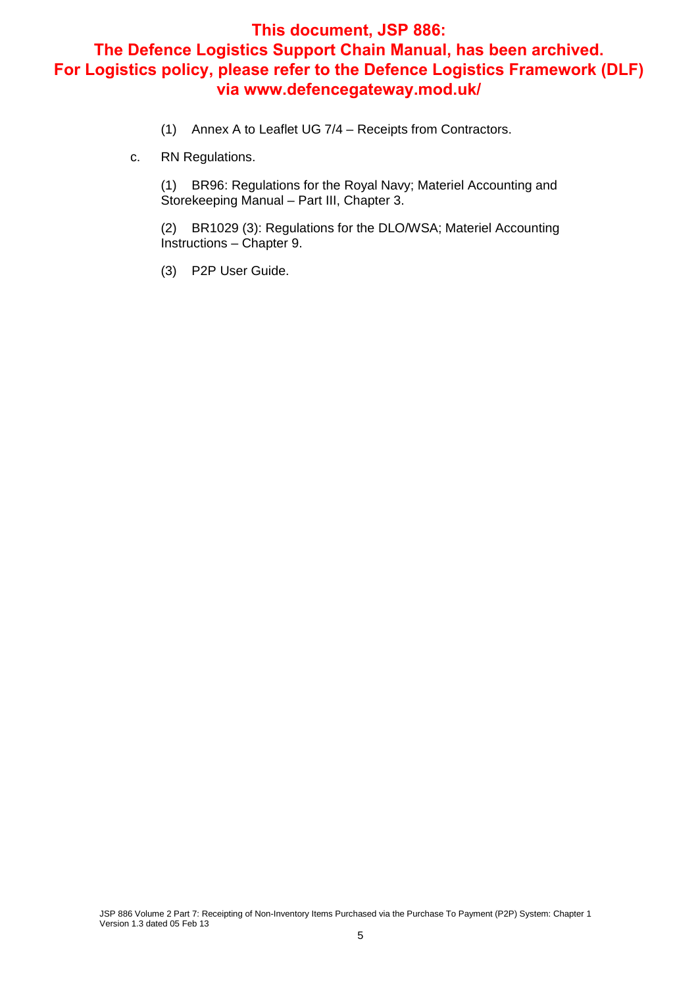- (1) Annex A to Leaflet UG 7/4 Receipts from Contractors.
- c. RN Regulations.

(1) BR96: Regulations for the Royal Navy; Materiel Accounting and Storekeeping Manual – Part III, Chapter 3.

(2) BR1029 (3): Regulations for the DLO/WSA; Materiel Accounting Instructions – Chapter 9.

(3) P2P User Guide.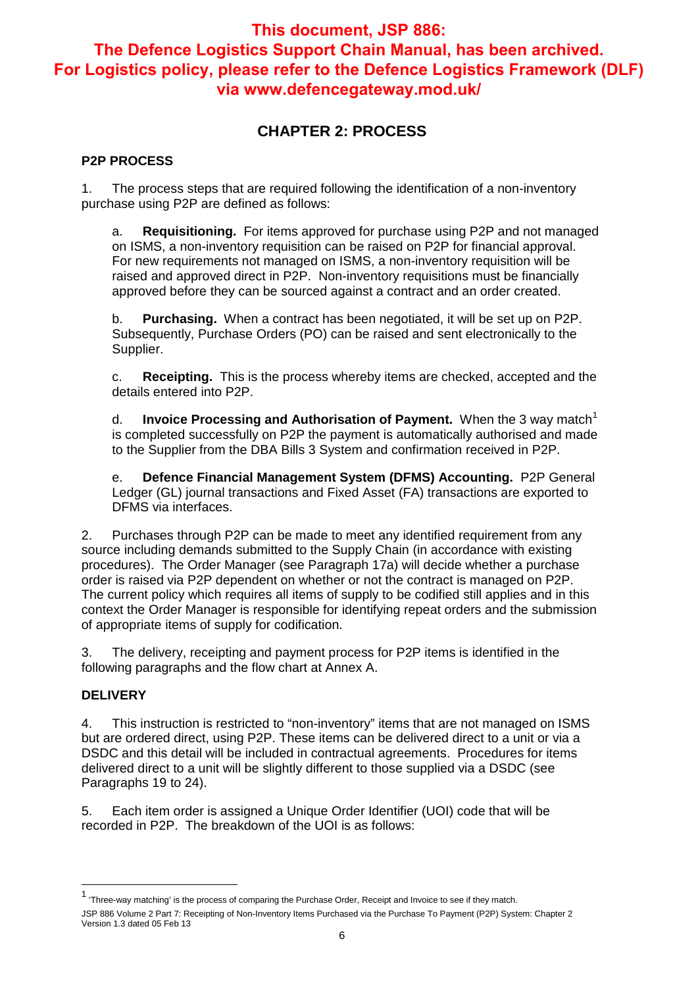## **CHAPTER 2: PROCESS**

#### **P2P PROCESS**

1. The process steps that are required following the identification of a non-inventory purchase using P2P are defined as follows:

a. **Requisitioning.** For items approved for purchase using P2P and not managed on ISMS, a non-inventory requisition can be raised on P2P for financial approval. For new requirements not managed on ISMS, a non-inventory requisition will be raised and approved direct in P2P. Non-inventory requisitions must be financially approved before they can be sourced against a contract and an order created.

b. **Purchasing.** When a contract has been negotiated, it will be set up on P2P. Subsequently, Purchase Orders (PO) can be raised and sent electronically to the Supplier.

c. **Receipting.** This is the process whereby items are checked, accepted and the details entered into P2P.

d. **Invoice Processing and Authorisation of Payment.** When the 3 way match<sup>1</sup> is completed successfully on P2P the payment is automatically authorised and made to the Supplier from the DBA Bills 3 System and confirmation received in P2P.

e. **Defence Financial Management System (DFMS) Accounting.** P2P General Ledger (GL) journal transactions and Fixed Asset (FA) transactions are exported to DFMS via interfaces.

2. Purchases through P2P can be made to meet any identified requirement from any source including demands submitted to the Supply Chain (in accordance with existing procedures). The Order Manager (see Paragraph 17a) will decide whether a purchase order is raised via P2P dependent on whether or not the contract is managed on P2P. The current policy which requires all items of supply to be codified still applies and in this context the Order Manager is responsible for identifying repeat orders and the submission of appropriate items of supply for codification.

3. The delivery, receipting and payment process for P2P items is identified in the following paragraphs and the flow chart at Annex A.

#### **DELIVERY**

 $\overline{a}$ 

4. This instruction is restricted to "non-inventory" items that are not managed on ISMS but are ordered direct, using P2P. These items can be delivered direct to a unit or via a DSDC and this detail will be included in contractual agreements. Procedures for items delivered direct to a unit will be slightly different to those supplied via a DSDC (see Paragraphs 19 to 24).

5. Each item order is assigned a Unique Order Identifier (UOI) code that will be recorded in P2P. The breakdown of the UOI is as follows:

JSP 886 Volume 2 Part 7: Receipting of Non-Inventory Items Purchased via the Purchase To Payment (P2P) System: Chapter 2 Version 1.3 dated 05 Feb 13 <sup>1</sup> 'Three-way matching' is the process of comparing the Purchase Order, Receipt and Invoice to see if they match.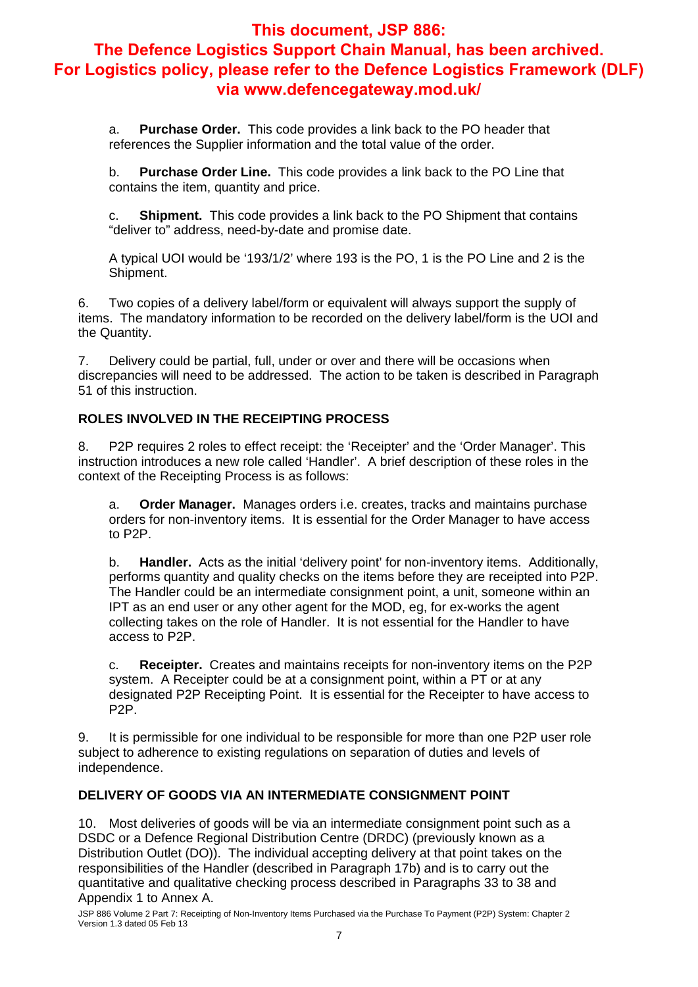a. **Purchase Order.** This code provides a link back to the PO header that references the Supplier information and the total value of the order.

b. **Purchase Order Line.** This code provides a link back to the PO Line that contains the item, quantity and price.

c. **Shipment.** This code provides a link back to the PO Shipment that contains "deliver to" address, need-by-date and promise date.

A typical UOI would be '193/1/2' where 193 is the PO, 1 is the PO Line and 2 is the Shipment.

6. Two copies of a delivery label/form or equivalent will always support the supply of items. The mandatory information to be recorded on the delivery label/form is the UOI and the Quantity.

7. Delivery could be partial, full, under or over and there will be occasions when discrepancies will need to be addressed. The action to be taken is described in Paragraph 51 of this instruction.

#### **ROLES INVOLVED IN THE RECEIPTING PROCESS**

8. P2P requires 2 roles to effect receipt: the 'Receipter' and the 'Order Manager'. This instruction introduces a new role called 'Handler'. A brief description of these roles in the context of the Receipting Process is as follows:

a. **Order Manager.** Manages orders i.e. creates, tracks and maintains purchase orders for non-inventory items. It is essential for the Order Manager to have access to P2P.

b. **Handler.** Acts as the initial 'delivery point' for non-inventory items. Additionally, performs quantity and quality checks on the items before they are receipted into P2P. The Handler could be an intermediate consignment point, a unit, someone within an IPT as an end user or any other agent for the MOD, eg, for ex-works the agent collecting takes on the role of Handler. It is not essential for the Handler to have access to P2P.

c. **Receipter.** Creates and maintains receipts for non-inventory items on the P2P system. A Receipter could be at a consignment point, within a PT or at any designated P2P Receipting Point. It is essential for the Receipter to have access to P2P.

9. It is permissible for one individual to be responsible for more than one P2P user role subject to adherence to existing regulations on separation of duties and levels of independence.

#### **DELIVERY OF GOODS VIA AN INTERMEDIATE CONSIGNMENT POINT**

10. Most deliveries of goods will be via an intermediate consignment point such as a DSDC or a Defence Regional Distribution Centre (DRDC) (previously known as a Distribution Outlet (DO)). The individual accepting delivery at that point takes on the responsibilities of the Handler (described in Paragraph 17b) and is to carry out the quantitative and qualitative checking process described in Paragraphs 33 to 38 and Appendix 1 to Annex A.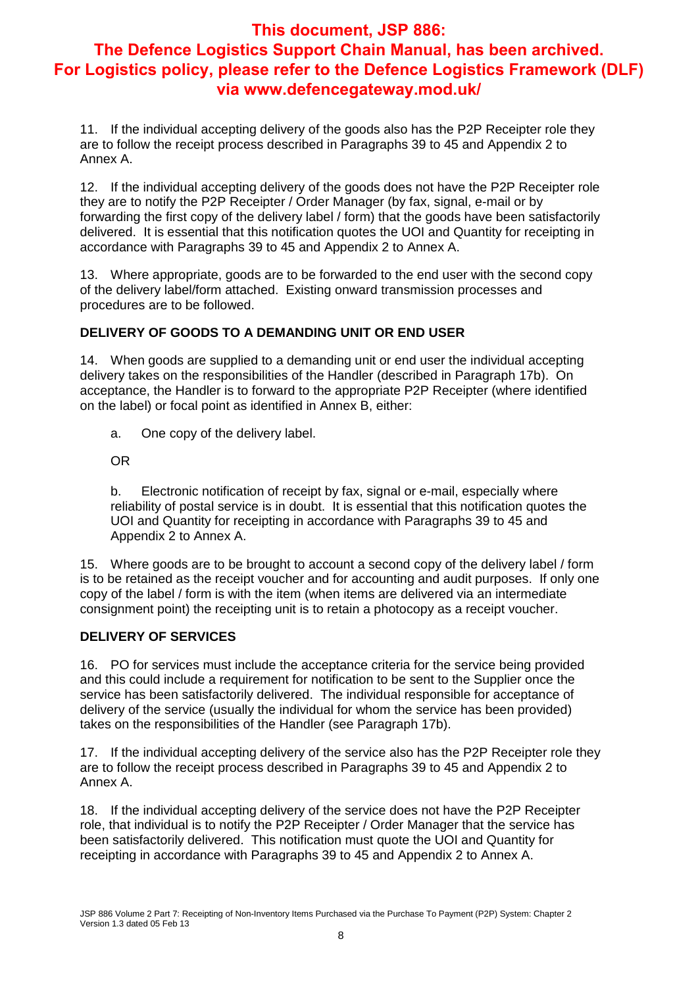# **This document, JSP 886:**

## **The Defence Logistics Support Chain Manual, has been archived. For Logistics policy, please refer to the Defence Logistics Framework (DLF) via www.defencegateway.mod.uk/**

11. If the individual accepting delivery of the goods also has the P2P Receipter role they are to follow the receipt process described in Paragraphs 39 to 45 and Appendix 2 to Annex A.

12. If the individual accepting delivery of the goods does not have the P2P Receipter role they are to notify the P2P Receipter / Order Manager (by fax, signal, e-mail or by forwarding the first copy of the delivery label / form) that the goods have been satisfactorily delivered. It is essential that this notification quotes the UOI and Quantity for receipting in accordance with Paragraphs 39 to 45 and Appendix 2 to Annex A.

13. Where appropriate, goods are to be forwarded to the end user with the second copy of the delivery label/form attached. Existing onward transmission processes and procedures are to be followed.

#### **DELIVERY OF GOODS TO A DEMANDING UNIT OR END USER**

14. When goods are supplied to a demanding unit or end user the individual accepting delivery takes on the responsibilities of the Handler (described in Paragraph 17b). On acceptance, the Handler is to forward to the appropriate P2P Receipter (where identified on the label) or focal point as identified in Annex B, either:

a. One copy of the delivery label.

OR

b. Electronic notification of receipt by fax, signal or e-mail, especially where reliability of postal service is in doubt. It is essential that this notification quotes the UOI and Quantity for receipting in accordance with Paragraphs 39 to 45 and Appendix 2 to Annex A.

15. Where goods are to be brought to account a second copy of the delivery label / form is to be retained as the receipt voucher and for accounting and audit purposes. If only one copy of the label / form is with the item (when items are delivered via an intermediate consignment point) the receipting unit is to retain a photocopy as a receipt voucher.

#### **DELIVERY OF SERVICES**

16. PO for services must include the acceptance criteria for the service being provided and this could include a requirement for notification to be sent to the Supplier once the service has been satisfactorily delivered. The individual responsible for acceptance of delivery of the service (usually the individual for whom the service has been provided) takes on the responsibilities of the Handler (see Paragraph 17b).

17. If the individual accepting delivery of the service also has the P2P Receipter role they are to follow the receipt process described in Paragraphs 39 to 45 and Appendix 2 to Annex A.

18. If the individual accepting delivery of the service does not have the P2P Receipter role, that individual is to notify the P2P Receipter / Order Manager that the service has been satisfactorily delivered. This notification must quote the UOI and Quantity for receipting in accordance with Paragraphs 39 to 45 and Appendix 2 to Annex A.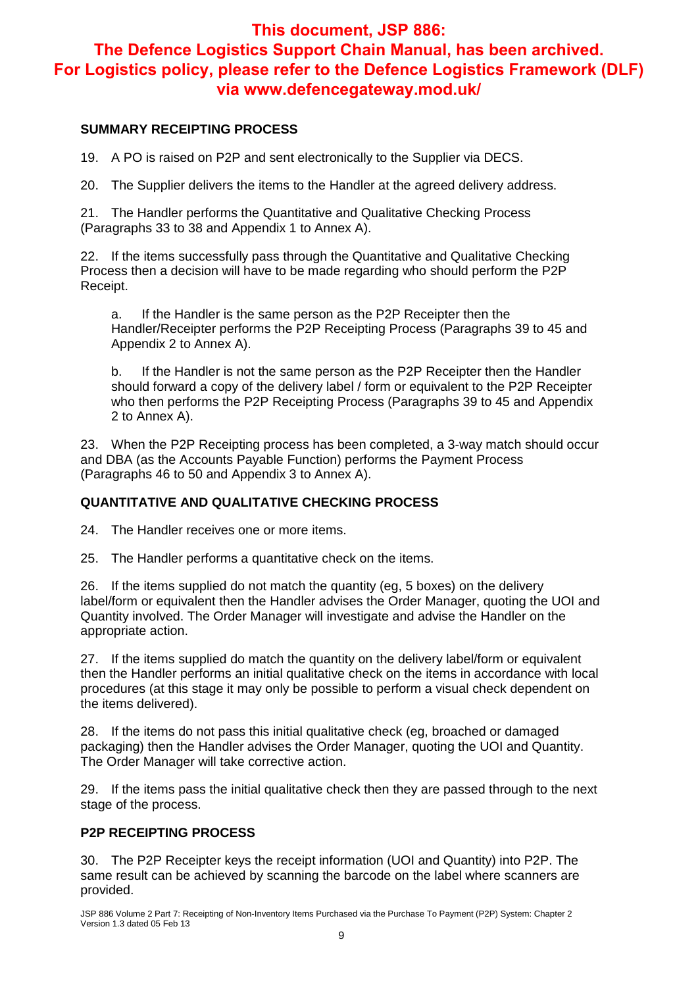#### **SUMMARY RECEIPTING PROCESS**

19. A PO is raised on P2P and sent electronically to the Supplier via DECS.

20. The Supplier delivers the items to the Handler at the agreed delivery address.

21. The Handler performs the Quantitative and Qualitative Checking Process (Paragraphs 33 to 38 and Appendix 1 to Annex A).

22. If the items successfully pass through the Quantitative and Qualitative Checking Process then a decision will have to be made regarding who should perform the P2P Receipt.

a. If the Handler is the same person as the P2P Receipter then the Handler/Receipter performs the P2P Receipting Process (Paragraphs 39 to 45 and Appendix 2 to Annex A).

b. If the Handler is not the same person as the P2P Receipter then the Handler should forward a copy of the delivery label / form or equivalent to the P2P Receipter who then performs the P2P Receipting Process (Paragraphs 39 to 45 and Appendix 2 to Annex A).

23. When the P2P Receipting process has been completed, a 3-way match should occur and DBA (as the Accounts Payable Function) performs the Payment Process (Paragraphs 46 to 50 and Appendix 3 to Annex A).

#### **QUANTITATIVE AND QUALITATIVE CHECKING PROCESS**

24. The Handler receives one or more items.

25. The Handler performs a quantitative check on the items.

26. If the items supplied do not match the quantity (eg, 5 boxes) on the delivery label/form or equivalent then the Handler advises the Order Manager, quoting the UOI and Quantity involved. The Order Manager will investigate and advise the Handler on the appropriate action.

27. If the items supplied do match the quantity on the delivery label/form or equivalent then the Handler performs an initial qualitative check on the items in accordance with local procedures (at this stage it may only be possible to perform a visual check dependent on the items delivered).

28. If the items do not pass this initial qualitative check (eg, broached or damaged packaging) then the Handler advises the Order Manager, quoting the UOI and Quantity. The Order Manager will take corrective action.

29. If the items pass the initial qualitative check then they are passed through to the next stage of the process.

#### **P2P RECEIPTING PROCESS**

30. The P2P Receipter keys the receipt information (UOI and Quantity) into P2P. The same result can be achieved by scanning the barcode on the label where scanners are provided.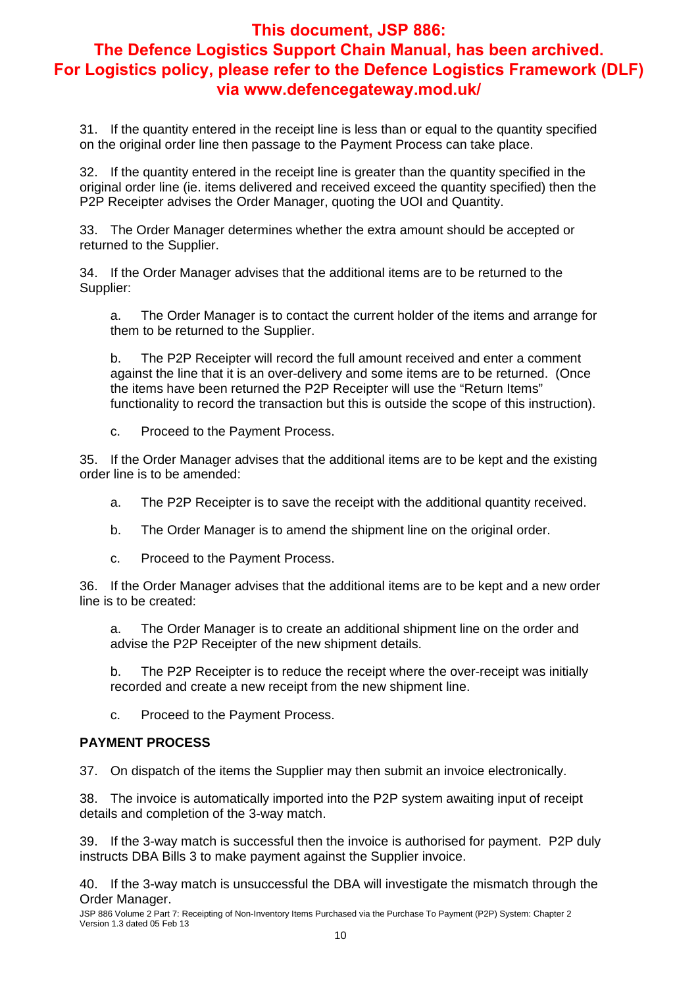31. If the quantity entered in the receipt line is less than or equal to the quantity specified on the original order line then passage to the Payment Process can take place.

32. If the quantity entered in the receipt line is greater than the quantity specified in the original order line (ie. items delivered and received exceed the quantity specified) then the P2P Receipter advises the Order Manager, quoting the UOI and Quantity.

33. The Order Manager determines whether the extra amount should be accepted or returned to the Supplier.

34. If the Order Manager advises that the additional items are to be returned to the Supplier:

a. The Order Manager is to contact the current holder of the items and arrange for them to be returned to the Supplier.

b. The P2P Receipter will record the full amount received and enter a comment against the line that it is an over-delivery and some items are to be returned. (Once the items have been returned the P2P Receipter will use the "Return Items" functionality to record the transaction but this is outside the scope of this instruction).

c. Proceed to the Payment Process.

35. If the Order Manager advises that the additional items are to be kept and the existing order line is to be amended:

- a. The P2P Receipter is to save the receipt with the additional quantity received.
- b. The Order Manager is to amend the shipment line on the original order.
- c. Proceed to the Payment Process.

36. If the Order Manager advises that the additional items are to be kept and a new order line is to be created:

a. The Order Manager is to create an additional shipment line on the order and advise the P2P Receipter of the new shipment details.

b. The P2P Receipter is to reduce the receipt where the over-receipt was initially recorded and create a new receipt from the new shipment line.

c. Proceed to the Payment Process.

#### **PAYMENT PROCESS**

37. On dispatch of the items the Supplier may then submit an invoice electronically.

38. The invoice is automatically imported into the P2P system awaiting input of receipt details and completion of the 3-way match.

39. If the 3-way match is successful then the invoice is authorised for payment. P2P duly instructs DBA Bills 3 to make payment against the Supplier invoice.

40. If the 3-way match is unsuccessful the DBA will investigate the mismatch through the Order Manager.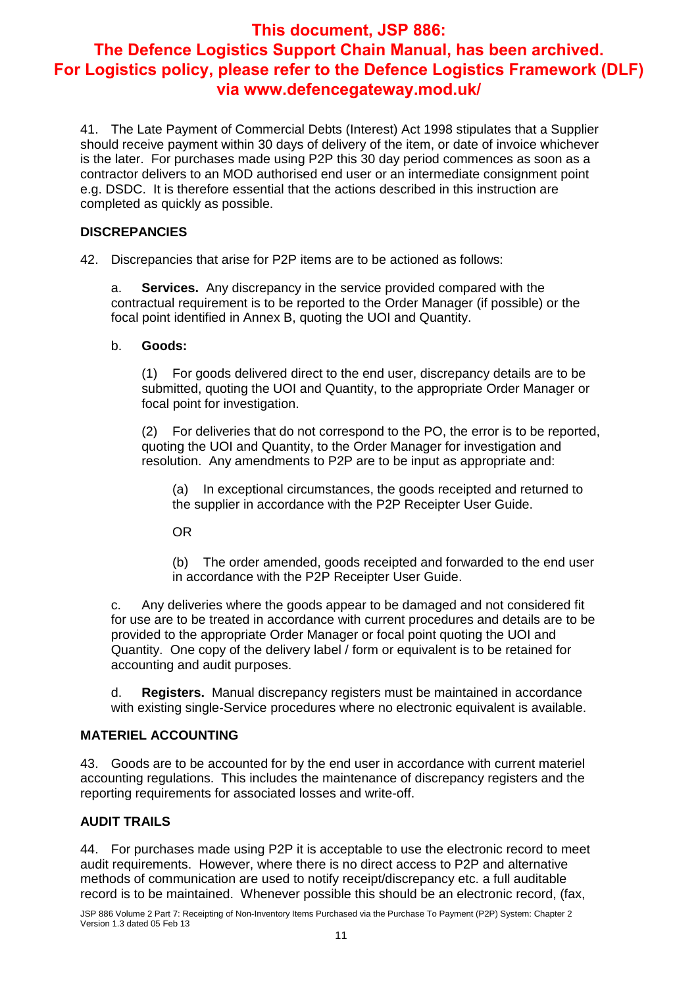41. The Late Payment of Commercial Debts (Interest) Act 1998 stipulates that a Supplier should receive payment within 30 days of delivery of the item, or date of invoice whichever is the later. For purchases made using P2P this 30 day period commences as soon as a contractor delivers to an MOD authorised end user or an intermediate consignment point e.g. DSDC. It is therefore essential that the actions described in this instruction are completed as quickly as possible.

#### **DISCREPANCIES**

42. Discrepancies that arise for P2P items are to be actioned as follows:

a. **Services.** Any discrepancy in the service provided compared with the contractual requirement is to be reported to the Order Manager (if possible) or the focal point identified in Annex B, quoting the UOI and Quantity.

#### b. **Goods:**

(1) For goods delivered direct to the end user, discrepancy details are to be submitted, quoting the UOI and Quantity, to the appropriate Order Manager or focal point for investigation.

(2) For deliveries that do not correspond to the PO, the error is to be reported, quoting the UOI and Quantity, to the Order Manager for investigation and resolution. Any amendments to P2P are to be input as appropriate and:

(a) In exceptional circumstances, the goods receipted and returned to the supplier in accordance with the P2P Receipter User Guide.

OR

(b) The order amended, goods receipted and forwarded to the end user in accordance with the P2P Receipter User Guide.

c. Any deliveries where the goods appear to be damaged and not considered fit for use are to be treated in accordance with current procedures and details are to be provided to the appropriate Order Manager or focal point quoting the UOI and Quantity. One copy of the delivery label / form or equivalent is to be retained for accounting and audit purposes.

d. **Registers.** Manual discrepancy registers must be maintained in accordance with existing single-Service procedures where no electronic equivalent is available.

#### **MATERIEL ACCOUNTING**

43. Goods are to be accounted for by the end user in accordance with current materiel accounting regulations. This includes the maintenance of discrepancy registers and the reporting requirements for associated losses and write-off.

#### **AUDIT TRAILS**

44. For purchases made using P2P it is acceptable to use the electronic record to meet audit requirements. However, where there is no direct access to P2P and alternative methods of communication are used to notify receipt/discrepancy etc. a full auditable record is to be maintained. Whenever possible this should be an electronic record, (fax,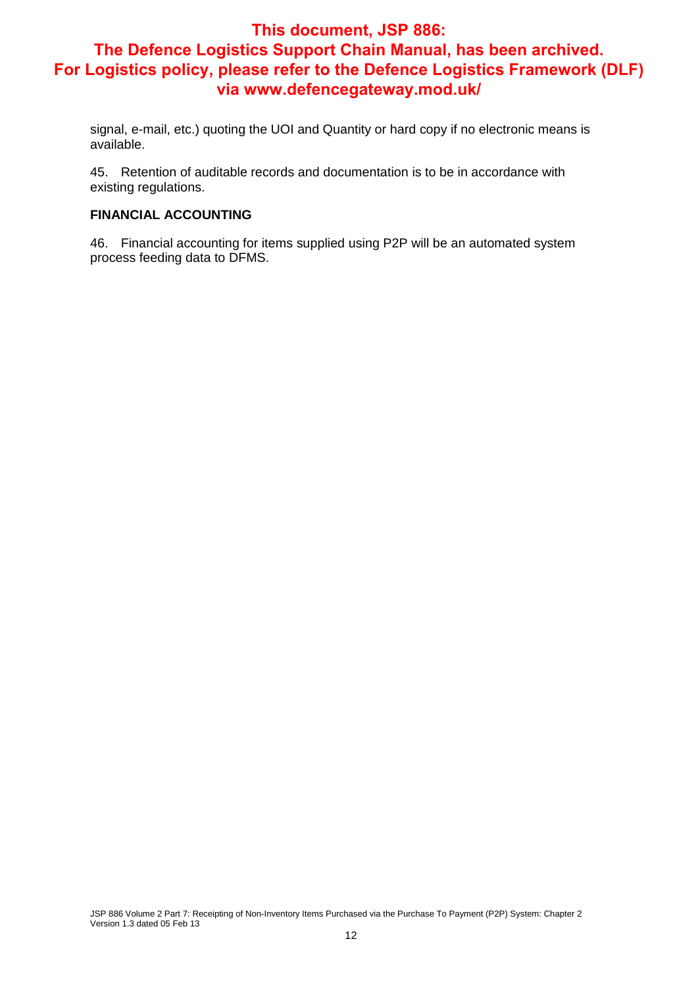**via www.defencegateway.mod.uk/** 

signal, e-mail, etc.) quoting the UOI and Quantity or hard copy if no electronic means is available.

45. Retention of auditable records and documentation is to be in accordance with existing regulations.

#### **FINANCIAL ACCOUNTING**

46. Financial accounting for items supplied using P2P will be an automated system process feeding data to DFMS.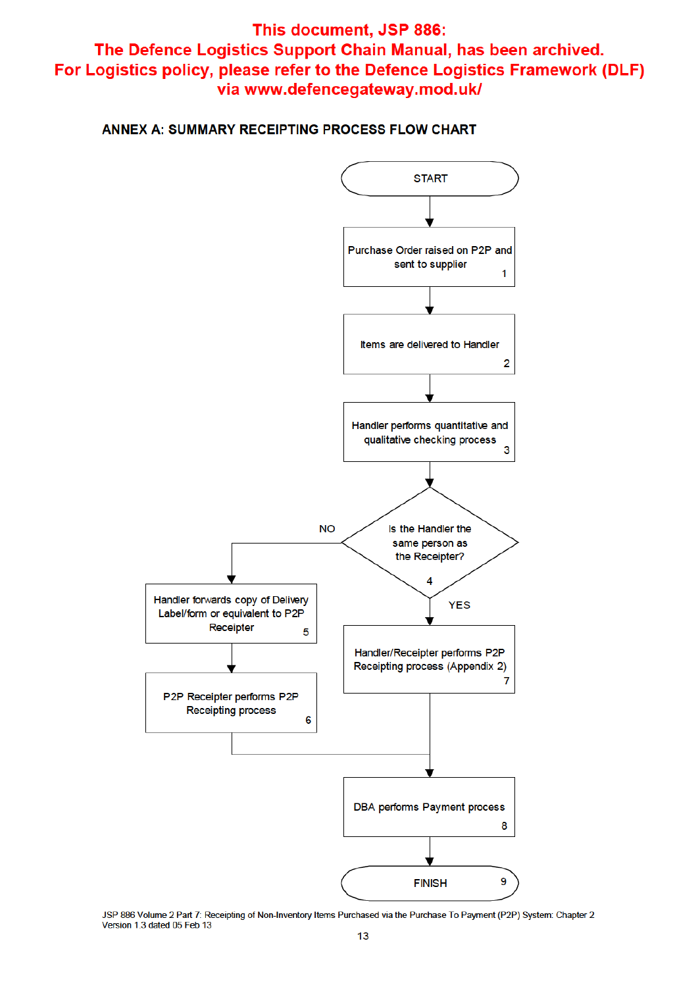#### ANNEX A: SUMMARY RECEIPTING PROCESS FLOW CHART

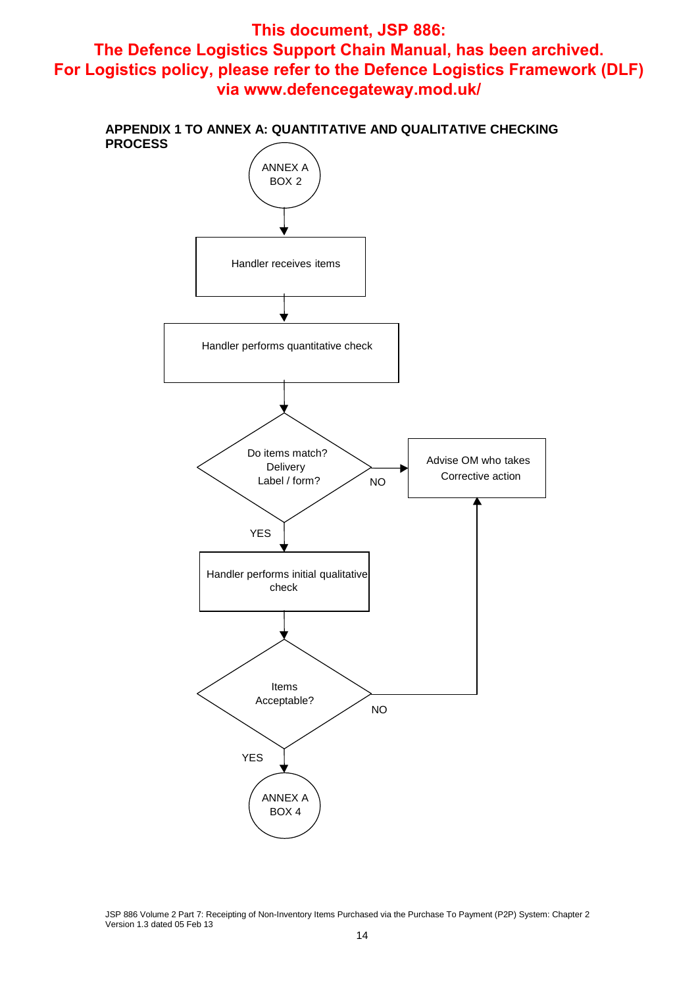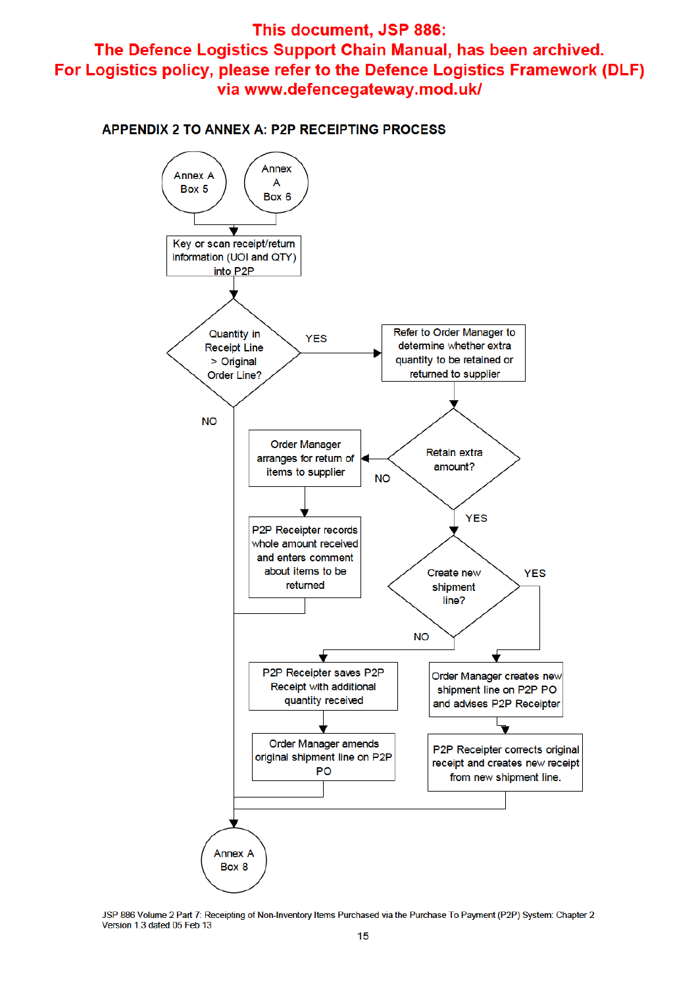**APPENDIX 2 TO ANNEX A: P2P RECEIPTING PROCESS** 

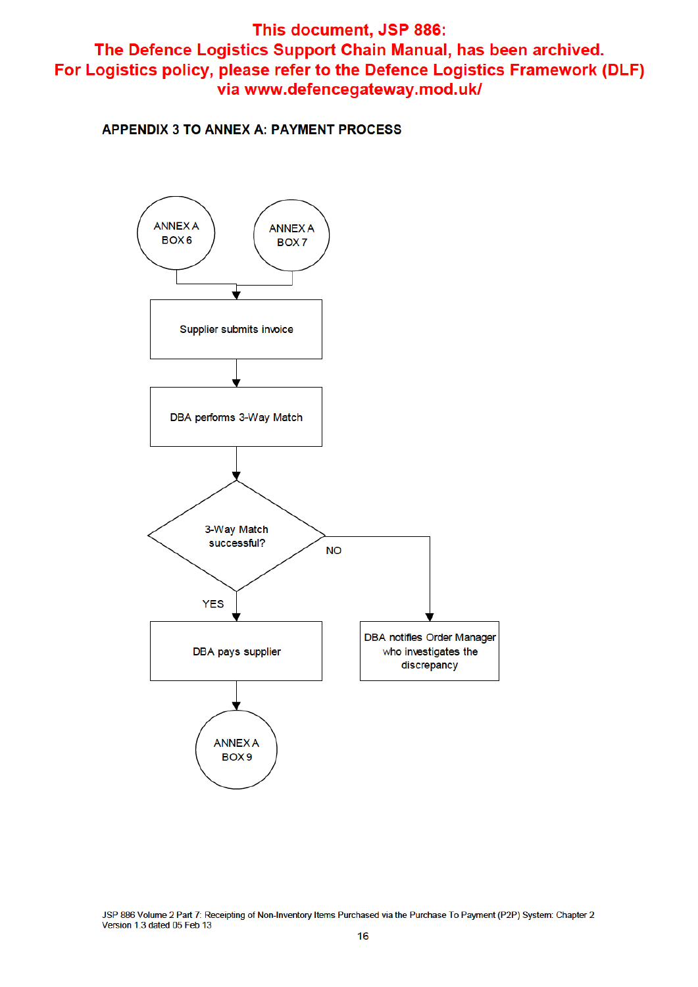**APPENDIX 3 TO ANNEX A: PAYMENT PROCESS**